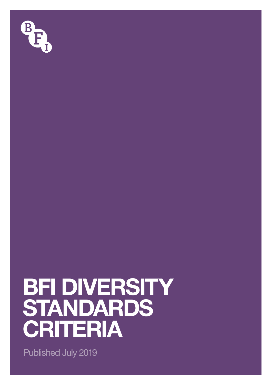

# **BFI DIVERSITY STANDARDS CRITERIA**

Published July 2019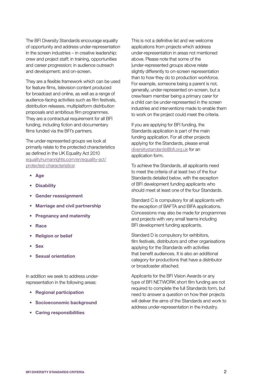The BFI Diversity Standards encourage equality of opportunity and address under-representation in the screen industries – in creative leadership; crew and project staff; in training, opportunities and career progression; in audience outreach and development; and on-screen.

They are a flexible framework which can be used for feature films, television content produced for broadcast and online, as well as a range of audience-facing activities such as film festivals, distribution releases, multiplatform distribution proposals and ambitious film programmes. They are a contractual requirement for all BFI funding, including fiction and documentary films funded via the BFI's partners.

The under-represented groups we look at primarily relate to the protected characteristics as defined in the UK Equality Act 2010 [equalityhumanrights.com/en/equality-act/](http://equalityhumanrights.com/en/equality-act/protected-characteristics) [protected-characteristics:](http://equalityhumanrights.com/en/equality-act/protected-characteristics)

- Age
- Disability
- Gender reassignment
- Marriage and civil partnership
- Pregnancy and maternity
- Race
- Religion or belief
- Sex
- Sexual orientation

In addition we seek to address underrepresentation in the following areas:

- Regional participation
- Socioeconomic background
- Caring responsibilities

This is not a definitive list and we welcome applications from projects which address under-representation in areas not mentioned above. Please note that some of the |under-represented groups above relate slightly differently to on-screen representation than to how they do to production workforce. For example, someone being a parent is not, generally, under-represented on-screen, but a crew/team member being a primary carer for a child can be under-represented in the screen industries and interventions made to enable them to work on the project could meet the criteria.

If you are applying for BFI funding, the Standards application is part of the main funding application. For all other projects applying for the Standards, please email diversitystandards@bfi.org.uk for an application form.

To achieve the Standards, all applicants need to meet the criteria of at least two of the four Standards detailed below, with the exception of BFI development funding applicants who should meet at least one of the four Standards.

Standard C is compulsory for all applicants with the exception of BAFTA and BIFA applications. Concessions may also be made for programmes and projects with very small teams including BFI development funding applicants.

Standard D is compulsory for exhibitors, film festivals, distributors and other organisations applying for the Standards with activities that benefit audiences. It is also an additional category for productions that have a distributor or broadcaster attached.

Applicants for the BFI Vision Awards or any type of BFI NETWORK short film funding are not required to complete the full Standards form, but need to answer a question on how their projects will deliver the aims of the Standards and work to address under-representation in the industry.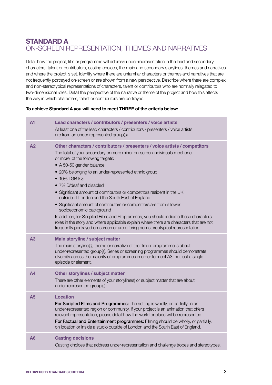## **STANDARD A**  ON-SCREEN REPRESENTATION, THEMES AND NARRATIVES

Detail how the project, film or programme will address under-representation in the lead and secondary characters, talent or contributors, casting choices, the main and secondary storylines, themes and narratives and where the project is set. Identify where there are unfamiliar characters or themes and narratives that are not frequently portrayed on-screen or are shown from a new perspective. Describe where there are complex and non-stereotypical representations of characters, talent or contributors who are normally relegated to two-dimensional roles. Detail the perspective of the narrative or theme of the project and how this affects the way in which characters, talent or contributors are portrayed.

#### **To achieve Standard A you will need to meet THREE of the criteria below:**

| A1             | Lead characters / contributors / presenters / voice artists<br>At least one of the lead characters / contributors / presenters / voice artists<br>are from an under-represented group(s).                                                                                                                                                                                                                                                                                                                                                                                                                                                                                                                                                                                                                                                      |
|----------------|------------------------------------------------------------------------------------------------------------------------------------------------------------------------------------------------------------------------------------------------------------------------------------------------------------------------------------------------------------------------------------------------------------------------------------------------------------------------------------------------------------------------------------------------------------------------------------------------------------------------------------------------------------------------------------------------------------------------------------------------------------------------------------------------------------------------------------------------|
| A <sub>2</sub> | Other characters / contributors / presenters / voice artists / competitors<br>The total of your secondary or more minor on-screen individuals meet one,<br>or more, of the following targets:<br>• A 50-50 gender balance<br>• 20% belonging to an under-represented ethnic group<br>$\bullet$ 10% LGBTQ+<br>• 7% D/deaf and disabled<br>• Significant amount of contributors or competitors resident in the UK<br>outside of London and the South East of England<br>• Significant amount of contributors or competitors are from a lower<br>socioeconomic background<br>In addition, for Scripted Films and Programmes, you should indicate these characters'<br>roles in the story and where applicable explain where there are characters that are not<br>frequently portrayed on-screen or are offering non-stereotypical representation. |
| A3             | Main storyline / subject matter<br>The main storyline(s), theme or narrative of the film or programme is about<br>under-represented group(s). Series or screening programmes should demonstrate<br>diversity across the majority of programmes in order to meet A3, not just a single<br>episode or element.                                                                                                                                                                                                                                                                                                                                                                                                                                                                                                                                   |
| $\mathbf{A}$   | Other storylines / subject matter<br>There are other elements of your storyline(s) or subject matter that are about<br>under-represented group(s).                                                                                                                                                                                                                                                                                                                                                                                                                                                                                                                                                                                                                                                                                             |
| A <sub>5</sub> | <b>Location</b><br>For Scripted Films and Programmes: The setting is wholly, or partially, in an<br>under-represented region or community. If your project is an animation that offers<br>relevant representation, please detail how the world or place will be represented.<br>For Factual and Entertainment programmes: Filming should be wholly, or partially,<br>on location or inside a studio outside of London and the South East of England.                                                                                                                                                                                                                                                                                                                                                                                           |
| A6             | <b>Casting decisions</b><br>Casting choices that address under-representation and challenge tropes and stereotypes.                                                                                                                                                                                                                                                                                                                                                                                                                                                                                                                                                                                                                                                                                                                            |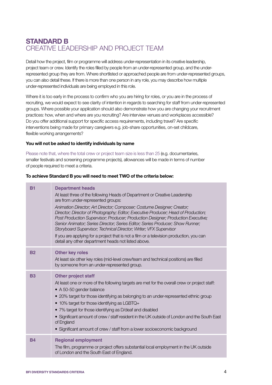## **STANDARD B**  CREATIVE LEADERSHIP AND PROJECT TEAM

Detail how the project, film or programme will address under-representation in its creative leadership, project team or crew. Identify the roles filled by people from an under-represented group, and the underrepresented group they are from. Where shortlisted or approached people are from under-represented groups, you can also detail these. If there is more than one person in any role, you may describe how multiple under-represented individuals are being employed in this role.

Where it is too early in the process to confirm who you are hiring for roles, or you are in the process of recruiting, we would expect to see clarity of intention in regards to searching for staff from under-represented groups. Where possible your application should also demonstrate how you are changing your recruitment practices: how, when and where are you recruiting? Are interview venues and workplaces accessible? Do you offer additional support for specific access requirements, including travel? Are specific interventions being made for primary caregivers e.g. job-share opportunities, on-set childcare, flexible working arrangements?

#### **You will not be asked to identify individuals by name**

Please note that, where the total crew or project team size is less than 25 (e.g. documentaries, smaller festivals and screening programme projects), allowances will be made in terms of number of people required to meet a criteria.

#### **To achieve Standard B you will need to meet TWO of the criteria below:**

| <b>B1</b> | <b>Department heads</b><br>At least three of the following Heads of Department or Creative Leadership<br>are from under-represented groups:<br>Animation Director; Art Director; Composer; Costume Designer; Creator;<br>Director; Director of Photography; Editor; Executive Producer; Head of Production;<br>Post Production Supervisor; Producer; Production Designer; Production Executive;<br>Senior Animator; Series Director; Series Editor; Series Producer; Show Runner;<br>Storyboard Supervisor; Technical Director; Writer; VFX Supervisor<br>If you are applying for a project that is not a film or a television production, you can<br>detail any other department heads not listed above. |
|-----------|-----------------------------------------------------------------------------------------------------------------------------------------------------------------------------------------------------------------------------------------------------------------------------------------------------------------------------------------------------------------------------------------------------------------------------------------------------------------------------------------------------------------------------------------------------------------------------------------------------------------------------------------------------------------------------------------------------------|
| <b>B2</b> | <b>Other key roles</b><br>At least six other key roles (mid-level crew/team and technical positions) are filled<br>by someone from an under-represented group.                                                                                                                                                                                                                                                                                                                                                                                                                                                                                                                                            |
| <b>B3</b> | <b>Other project staff</b><br>At least one or more of the following targets are met for the overall crew or project staff:<br>• A 50-50 gender balance<br>• 20% target for those identifying as belonging to an under-represented ethnic group<br>• 10% target for those identifying as LGBTQ+<br>• 7% target for those identifying as D/deaf and disabled<br>• Significant amount of crew / staff resident in the UK outside of London and the South East<br>of England<br>• Significant amount of crew / staff from a lower socioeconomic background                                                                                                                                                    |
| <b>B4</b> | <b>Regional employment</b><br>The film, programme or project offers substantial local employment in the UK outside<br>of London and the South East of England.                                                                                                                                                                                                                                                                                                                                                                                                                                                                                                                                            |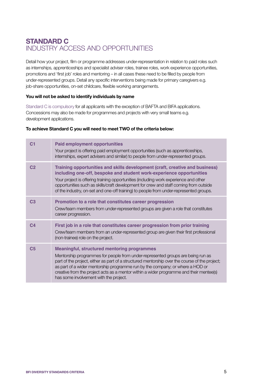## **STANDARD C** INDUSTRY ACCESS AND OPPORTUNITIES

Detail how your project, film or programme addresses under-representation in relation to paid roles such as internships, apprenticeships and specialist adviser roles, trainee roles, work experience opportunities, promotions and 'first job' roles and mentoring – in all cases these need to be filled by people from under-represented groups. Detail any specific interventions being made for primary caregivers e.g. job-share opportunities, on-set childcare, flexible working arrangements.

#### **You will not be asked to identify individuals by name**

Standard C is compulsory for all applicants with the exception of BAFTA and BIFA applications. Concessions may also be made for programmes and projects with very small teams e.g. development applications.

#### **To achieve Standard C you will need to meet TWO of the criteria below:**

| C <sub>1</sub> | <b>Paid employment opportunities</b><br>Your project is offering paid employment opportunities (such as apprenticeships,<br>internships, expert advisers and similar) to people from under-represented groups.                                                                                                                                                                                                                                                |
|----------------|---------------------------------------------------------------------------------------------------------------------------------------------------------------------------------------------------------------------------------------------------------------------------------------------------------------------------------------------------------------------------------------------------------------------------------------------------------------|
| C <sub>2</sub> | Training opportunities and skills development (craft, creative and business)<br>including one-off, bespoke and student work-experience opportunities<br>Your project is offering training opportunities (including work experience and other<br>opportunities such as skills/craft development for crew and staff coming from outside<br>of the industry, on-set and one-off training) to people from under-represented groups.                               |
| C <sub>3</sub> | Promotion to a role that constitutes career progression<br>Crew/team members from under-represented groups are given a role that constitutes<br>career progression.                                                                                                                                                                                                                                                                                           |
| C <sub>4</sub> | First job in a role that constitutes career progression from prior training<br>Crew/team members from an under-represented group are given their first professional<br>(non-trainee) role on the project.                                                                                                                                                                                                                                                     |
| C <sub>5</sub> | <b>Meaningful, structured mentoring programmes</b><br>Mentorship programmes for people from under-represented groups are being run as<br>part of the project, either as part of a structured mentorship over the course of the project;<br>as part of a wider mentorship programme run by the company; or where a HOD or<br>creative from the project acts as a mentor within a wider programme and their mentee(s)<br>has some involvement with the project. |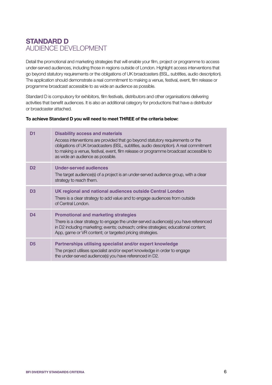## **STANDARD D** AUDIENCE DEVELOPMENT

Detail the promotional and marketing strategies that will enable your film, project or programme to access under-served audiences, including those in regions outside of London. Highlight access interventions that go beyond statutory requirements or the obligations of UK broadcasters (BSL, subtitles, audio description). The application should demonstrate a real commitment to making a venue, festival, event, film release or programme broadcast accessible to as wide an audience as possible.

Standard D is compulsory for exhibitors, film festivals, distributors and other organisations delivering activities that benefit audiences. It is also an additional category for productions that have a distributor or broadcaster attached.

#### **To achieve Standard D you will need to meet THREE of the criteria below:**

| D1             | <b>Disability access and materials</b><br>Access interventions are provided that go beyond statutory requirements or the<br>obligations of UK broadcasters (BSL, subtitles, audio description). A real commitment<br>to making a venue, festival, event, film release or programme broadcast accessible to<br>as wide an audience as possible. |
|----------------|------------------------------------------------------------------------------------------------------------------------------------------------------------------------------------------------------------------------------------------------------------------------------------------------------------------------------------------------|
| D <sub>2</sub> | <b>Under-served audiences</b><br>The target audience(s) of a project is an under-served audience group, with a clear<br>strategy to reach them.                                                                                                                                                                                                |
| D <sub>3</sub> | UK regional and national audiences outside Central London<br>There is a clear strategy to add value and to engage audiences from outside<br>of Central London.                                                                                                                                                                                 |
| D4             | <b>Promotional and marketing strategies</b><br>There is a clear strategy to engage the under-served audience(s) you have referenced<br>in D2 including marketing; events; outreach; online strategies; educational content;<br>App, game or VR content; or targeted pricing strategies.                                                        |
| D <sub>5</sub> | Partnerships utilising specialist and/or expert knowledge<br>The project utilises specialist and/or expert knowledge in order to engage<br>the under-served audience(s) you have referenced in D2.                                                                                                                                             |